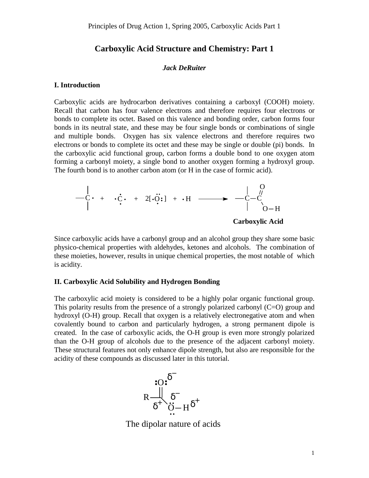# **Carboxylic Acid Structure and Chemistry: Part 1**

## *Jack DeRuiter*

#### **I. Introduction**

Carboxylic acids are hydrocarbon derivatives containing a carboxyl (COOH) moiety. Recall that carbon has four valence electrons and therefore requires four electrons or bonds to complete its octet. Based on this valence and bonding order, carbon forms four bonds in its neutral state, and these may be four single bonds or combinations of single and multiple bonds. Oxygen has six valence electrons and therefore requires two electrons or bonds to complete its octet and these may be single or double (pi) bonds. In the carboxylic acid functional group, carbon forms a double bond to one oxygen atom forming a carbonyl moiety, a single bond to another oxygen forming a hydroxyl group. The fourth bond is to another carbon atom (or H in the case of formic acid).



Since carboxylic acids have a carbonyl group and an alcohol group they share some basic physico-chemical properties with aldehydes, ketones and alcohols. The combination of these moieties, however, results in unique chemical properties, the most notable of which is acidity.

## **II. Carboxylic Acid Solubility and Hydrogen Bonding**

The carboxylic acid moiety is considered to be a highly polar organic functional group. This polarity results from the presence of a strongly polarized carbonyl  $(C=O)$  group and hydroxyl (O-H) group. Recall that oxygen is a relatively electronegative atom and when covalently bound to carbon and particularly hydrogen, a strong permanent dipole is created. In the case of carboxylic acids, the O-H group is even more strongly polarized than the O-H group of alcohols due to the presence of the adjacent carbonyl moiety. These structural features not only enhance dipole strength, but also are responsible for the acidity of these compounds as discussed later in this tutorial.



The dipolar nature of acids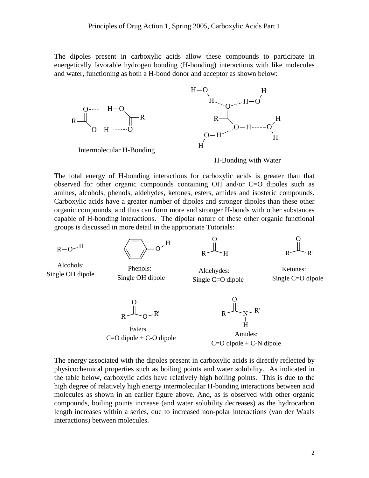The dipoles present in carboxylic acids allow these compounds to participate in energetically favorable hydrogen bonding (H-bonding) interactions with like molecules and water, functioning as both a H-bond donor and acceptor as shown below:



The total energy of H-bonding interactions for carboxylic acids is greater than that observed for other organic compounds containing OH and/or C=O dipoles such as amines, alcohols, phenols, aldehydes, ketones, esters, amides and isosteric compounds. Carboxylic acids have a greater number of dipoles and stronger dipoles than these other organic compounds, and thus can form more and stronger H-bonds with other substances capable of H-bonding interactions. The dipolar nature of these other organic functional groups is discussed in more detail in the appropriate Tutorials:

 $R - Q - H$ 



 $R$   $\leftarrow$   $H$ O

 $R \leftarrow R'$ O

Single OH dipole Alcohols:

Phenols: Aldehydes:<br>Single OH dipole Single C-O di

Single C=O dipole Single C=O dipole

Ketones:

 $R \sim 0$ O R'

Esters

 $R \sim N$ O R' H

Amides:  $C=O$  dipole + C-O dipole<br> $C=O$  dipole + C-N dipole

The energy associated with the dipoles present in carboxylic acids is directly reflected by physicochemical properties such as boiling points and water solubility. As indicated in the table below, carboxylic acids have relatively high boiling points. This is due to the high degree of relatively high energy intermolecular H-bonding interactions between acid molecules as shown in an earlier figure above. And, as is observed with other organic compounds, boiling points increase (and water solubility decreases) as the hydrocarbon length increases within a series, due to increased non-polar interactions (van der Waals interactions) between molecules.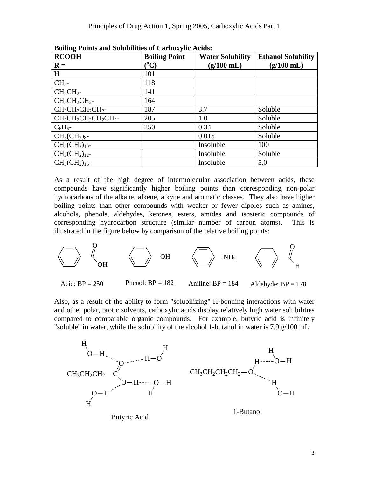| <b>RCOOH</b>                 | <b>Boiling Point</b> | <b>Water Solubility</b> | <b>Ethanol Solubility</b> |
|------------------------------|----------------------|-------------------------|---------------------------|
| $\mathbf{R} =$               | $\rm ^{(0}C)$        | $(g/100$ mL)            | $(g/100 \text{ mL})$      |
| H                            | 101                  |                         |                           |
| $CH3$ -                      | 118                  |                         |                           |
| $CH3CH2$ -                   | 141                  |                         |                           |
| $CH3CH2CH2$ -                | 164                  |                         |                           |
| $CH_3CH_2CH_2CH_2$ -         | 187                  | 3.7                     | Soluble                   |
| $CH_3CH_2CH_2CH_2CH_2CH_2$ - | 205                  | 1.0                     | Soluble                   |
| $C_6H_5$ -                   | 250                  | 0.34                    | Soluble                   |
| $CH_3CH_2$ ) <sub>8</sub> -  |                      | 0.015                   | Soluble                   |
| $CH3(CH2)10$ -               |                      | Insoluble               | 100                       |
| $CH3(CH2)12$ -               |                      | Insoluble               | Soluble                   |
| $CH3(CH2)16$ -               |                      | Insoluble               | 5.0                       |

**Boiling Points and Solubilities of Carboxylic Acids:**

As a result of the high degree of intermolecular association between acids, these compounds have significantly higher boiling points than corresponding non-polar hydrocarbons of the alkane, alkene, alkyne and aromatic classes. They also have higher boiling points than other compounds with weaker or fewer dipoles such as amines, alcohols, phenols, aldehydes, ketones, esters, amides and isosteric compounds of corresponding hydrocarbon structure (similar number of carbon atoms). This is illustrated in the figure below by comparison of the relative boiling points:



Also, as a result of the ability to form "solubilizing" H-bonding interactions with water and other polar, protic solvents, carboxylic acids display relatively high water solubilities compared to comparable organic compounds. For example, butyric acid is infinitely "soluble" in water, while the solubility of the alcohol 1-butanol in water is 7.9  $g/100$  mL:



Butyric Acid

1-Butanol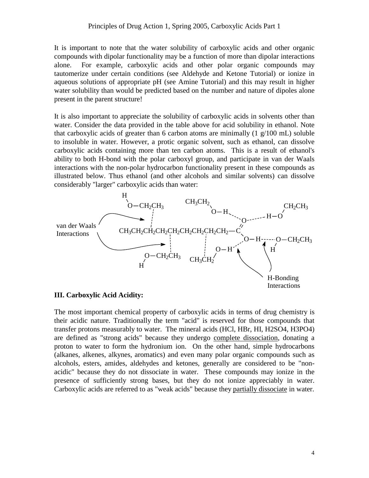It is important to note that the water solubility of carboxylic acids and other organic compounds with dipolar functionality may be a function of more than dipolar interactions alone. For example, carboxylic acids and other polar organic compounds may tautomerize under certain conditions (see Aldehyde and Ketone Tutorial) or ionize in aqueous solutions of appropriate pH (see Amine Tutorial) and this may result in higher water solubility than would be predicted based on the number and nature of dipoles alone present in the parent structure!

It is also important to appreciate the solubility of carboxylic acids in solvents other than water. Consider the data provided in the table above for acid solubility in ethanol. Note that carboxylic acids of greater than 6 carbon atoms are minimally  $(1 \text{ g}/100 \text{ mL})$  soluble to insoluble in water. However, a protic organic solvent, such as ethanol, can dissolve carboxylic acids containing more than ten carbon atoms. This is a result of ethanol's ability to both H-bond with the polar carboxyl group, and participate in van der Waals interactions with the non-polar hydrocarbon functionality present in these compounds as illustrated below. Thus ethanol (and other alcohols and similar solvents) can dissolve considerably "larger" carboxylic acids than water:



## **III. Carboxylic Acid Acidity:**

The most important chemical property of carboxylic acids in terms of drug chemistry is their acidic nature. Traditionally the term "acid" is reserved for those compounds that transfer protons measurably to water. The mineral acids (HCl, HBr, HI, H2SO4, H3PO4) are defined as "strong acids" because they undergo complete dissociation, donating a proton to water to form the hydronium ion. On the other hand, simple hydrocarbons (alkanes, alkenes, alkynes, aromatics) and even many polar organic compounds such as alcohols, esters, amides, aldehydes and ketones, generally are considered to be "nonacidic" because they do not dissociate in water. These compounds may ionize in the presence of sufficiently strong bases, but they do not ionize appreciably in water. Carboxylic acids are referred to as "weak acids" because they partially dissociate in water.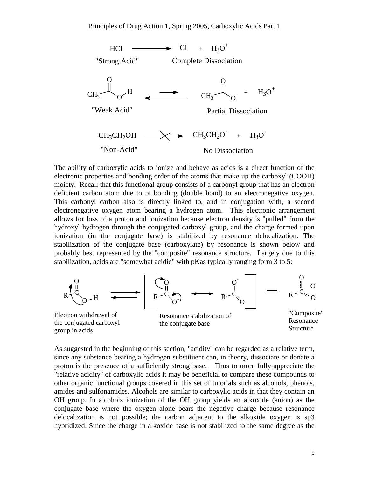

The ability of carboxylic acids to ionize and behave as acids is a direct function of the electronic properties and bonding order of the atoms that make up the carboxyl (COOH) moiety. Recall that this functional group consists of a carbonyl group that has an electron deficient carbon atom due to pi bonding (double bond) to an electronegative oxygen. This carbonyl carbon also is directly linked to, and in conjugation with, a second electronegative oxygen atom bearing a hydrogen atom. This electronic arrangement allows for loss of a proton and ionization because electron density is "pulled" from the hydroxyl hydrogen through the conjugated carboxyl group, and the charge formed upon ionization (in the conjugate base) is stabilized by resonance delocalization. The stabilization of the conjugate base (carboxylate) by resonance is shown below and probably best represented by the "composite" resonance structure. Largely due to this stabilization, acids are "somewhat acidic" with pKas typically ranging form 3 to 5:



the conjugated carboxyl group in acids

the conjugate base

Structure

As suggested in the beginning of this section, "acidity" can be regarded as a relative term, since any substance bearing a hydrogen substituent can, in theory, dissociate or donate a proton is the presence of a sufficiently strong base. Thus to more fully appreciate the "relative acidity" of carboxylic acids it may be beneficial to compare these compounds to other organic functional groups covered in this set of tutorials such as alcohols, phenols, amides and sulfonamides. Alcohols are similar to carboxylic acids in that they contain an OH group. In alcohols ionization of the OH group yields an alkoxide (anion) as the conjugate base where the oxygen alone bears the negative charge because resonance delocalization is not possible; the carbon adjacent to the alkoxide oxygen is sp3 hybridized. Since the charge in alkoxide base is not stabilized to the same degree as the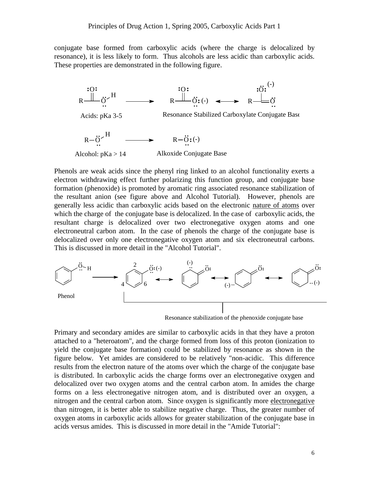conjugate base formed from carboxylic acids (where the charge is delocalized by resonance), it is less likely to form. Thus alcohols are less acidic than carboxylic acids. These properties are demonstrated in the following figure.



Phenols are weak acids since the phenyl ring linked to an alcohol functionality exerts a electron withdrawing effect further polarizing this function group, and conjugate base formation (phenoxide) is promoted by aromatic ring associated resonance stabilization of the resultant anion (see figure above and Alcohol Tutorial). However, phenols are generally less acidic than carboxylic acids based on the electronic nature of atoms over which the charge of the conjugate base is delocalized. In the case of carboxylic acids, the resultant charge is delocalized over two electronegative oxygen atoms and one electroneutral carbon atom. In the case of phenols the charge of the conjugate base is delocalized over only one electronegative oxygen atom and six electroneutral carbons. This is discussed in more detail in the "Alcohol Tutorial".



Resonance stabilization of the phenoxide conjugate base

Primary and secondary amides are similar to carboxylic acids in that they have a proton attached to a "heteroatom", and the charge formed from loss of this proton (ionization to yield the conjugate base formation) could be stabilized by resonance as shown in the figure below. Yet amides are considered to be relatively "non-acidic. This difference results from the electron nature of the atoms over which the charge of the conjugate base is distributed. In carboxylic acids the charge forms over an electronegative oxygen and delocalized over two oxygen atoms and the central carbon atom. In amides the charge forms on a less electronegative nitrogen atom, and is distributed over an oxygen, a nitrogen and the central carbon atom. Since oxygen is significantly more electronegative than nitrogen, it is better able to stabilize negative charge. Thus, the greater number of oxygen atoms in carboxylic acids allows for greater stabilization of the conjugate base in acids versus amides. This is discussed in more detail in the "Amide Tutorial":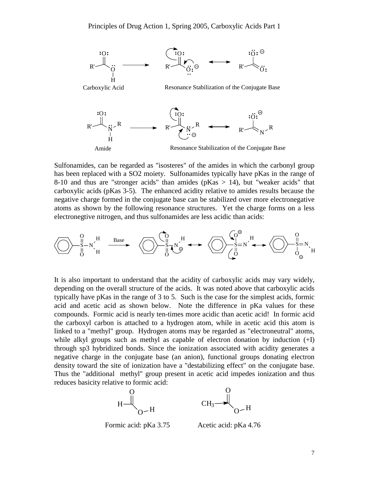

Sulfonamides, can be regarded as "isosteres" of the amides in which the carbonyl group has been replaced with a SO2 moiety. Sulfonamides typically have pKas in the range of 8-10 and thus are "stronger acids" than amides ( $pKas > 14$ ), but "weaker acids" that carboxylic acids (pKas 3-5). The enhanced acidity relative to amides results because the negative charge formed in the conjugate base can be stabilized over more electronegative atoms as shown by the following resonance structures. Yet the charge forms on a less electronegtive nitrogen, and thus sulfonamides are less acidic than acids:

S O O N H H S O O N H S O N <sup>H</sup> <sup>O</sup> S O N <sup>H</sup> <sup>O</sup> Base

It is also important to understand that the acidity of carboxylic acids may vary widely, depending on the overall structure of the acids. It was noted above that carboxylic acids typically have pKas in the range of 3 to 5. Such is the case for the simplest acids, formic acid and acetic acid as shown below. Note the difference in pKa values for these compounds. Formic acid is nearly ten-times more acidic than acetic acid! In formic acid the carboxyl carbon is attached to a hydrogen atom, while in acetic acid this atom is linked to a "methyl" group. Hydrogen atoms may be regarded as "electroneutral" atoms, while alkyl groups such as methyl as capable of electron donation by induction  $(+I)$ through sp3 hybridized bonds. Since the ionization associated with acidity generates a negative charge in the conjugate base (an anion), functional groups donating electron density toward the site of ionization have a "destabilizing effect" on the conjugate base. Thus the "additional methyl" group present in acetic acid impedes ionization and thus reduces basicity relative to formic acid:



Formic acid: pKa 3.75 Acetic acid: pKa 4.76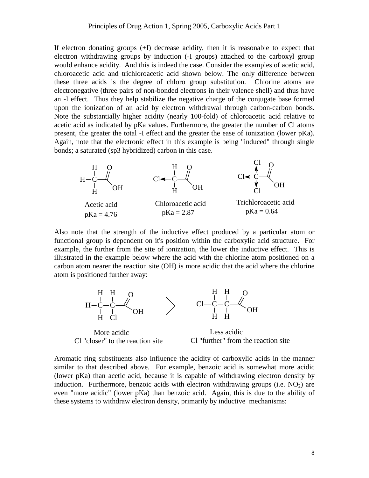If electron donating groups (+I) decrease acidity, then it is reasonable to expect that electron withdrawing groups by induction (-I groups) attached to the carboxyl group would enhance acidity. And this is indeed the case. Consider the examples of acetic acid, chloroacetic acid and trichloroacetic acid shown below. The only difference between these three acids is the degree of chloro group substitution. Chlorine atoms are electronegative (three pairs of non-bonded electrons in their valence shell) and thus have an -I effect. Thus they help stabilize the negative charge of the conjugate base formed upon the ionization of an acid by electron withdrawal through carbon-carbon bonds. Note the substantially higher acidity (nearly 100-fold) of chloroacetic acid relative to acetic acid as indicated by pKa values. Furthermore, the greater the number of Cl atoms present, the greater the total -I effect and the greater the ease of ionization (lower pKa). Again, note that the electronic effect in this example is being "induced" through single bonds; a saturated (sp3 hybridized) carbon in this case.



Also note that the strength of the inductive effect produced by a particular atom or functional group is dependent on it's position within the carboxylic acid structure. For example, the further from the site of ionization, the lower the inductive effect. This is illustrated in the example below where the acid with the chlorine atom positioned on a carbon atom nearer the reaction site (OH) is more acidic that the acid where the chlorine atom is positioned further away:



More acidic

Less acidic Cl "closer" to the reaction site Cl "further" from the reaction site

Aromatic ring substituents also influence the acidity of carboxylic acids in the manner similar to that described above. For example, benzoic acid is somewhat more acidic (lower pKa) than acetic acid, because it is capable of withdrawing electron density by induction. Furthermore, benzoic acids with electron withdrawing groups (i.e.  $NO<sub>2</sub>$ ) are even "more acidic" (lower pKa) than benzoic acid. Again, this is due to the ability of these systems to withdraw electron density, primarily by inductive mechanisms: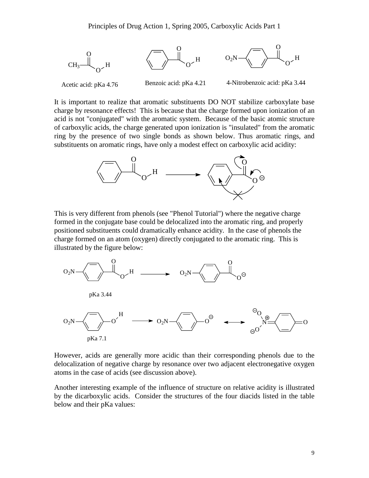

It is important to realize that aromatic substituents DO NOT stabilize carboxylate base charge by resonance effects! This is because that the charge formed upon ionization of an acid is not "conjugated" with the aromatic system. Because of the basic atomic structure of carboxylic acids, the charge generated upon ionization is "insulated" from the aromatic ring by the presence of two single bonds as shown below. Thus aromatic rings, and substituents on aromatic rings, have only a modest effect on carboxylic acid acidity:



This is very different from phenols (see "Phenol Tutorial") where the negative charge formed in the conjugate base could be delocalized into the aromatic ring, and properly positioned substituents could dramatically enhance acidity. In the case of phenols the charge formed on an atom (oxygen) directly conjugated to the aromatic ring. This is illustrated by the figure below:



However, acids are generally more acidic than their corresponding phenols due to the delocalization of negative charge by resonance over two adjacent electronegative oxygen atoms in the case of acids (see discussion above).

Another interesting example of the influence of structure on relative acidity is illustrated by the dicarboxylic acids. Consider the structures of the four diacids listed in the table below and their pKa values: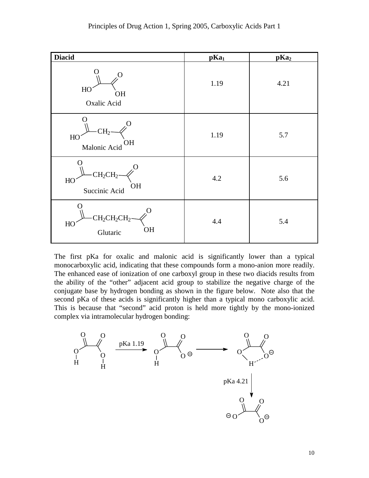| <b>Diacid</b>                                                    | pKa <sub>1</sub> | pKa <sub>2</sub> |
|------------------------------------------------------------------|------------------|------------------|
| $\mathcal{O}$<br>HO<br>OH<br>Oxalic Acid                         | 1.19             | 4.21             |
| $\left( \right)$<br>CH <sub>2</sub><br>HO<br>OН<br>Malonic Acid  | 1.19             | 5.7              |
| CH <sub>2</sub> CH <sub>2</sub><br>HO<br>OH<br>Succinic Acid     | 4.2              | 5.6              |
| $\mathcal{O}$<br>$CH_2CH_2CH_2$ -<br>HO<br><b>OH</b><br>Glutaric | 4.4              | 5.4              |

The first pKa for oxalic and malonic acid is significantly lower than a typical monocarboxylic acid, indicating that these compounds form a mono-anion more readily. The enhanced ease of ionization of one carboxyl group in these two diacids results from the ability of the "other" adjacent acid group to stabilize the negative charge of the conjugate base by hydrogen bonding as shown in the figure below. Note also that the second pKa of these acids is significantly higher than a typical mono carboxylic acid. This is because that "second" acid proton is held more tightly by the mono-ionized complex via intramolecular hydrogen bonding: